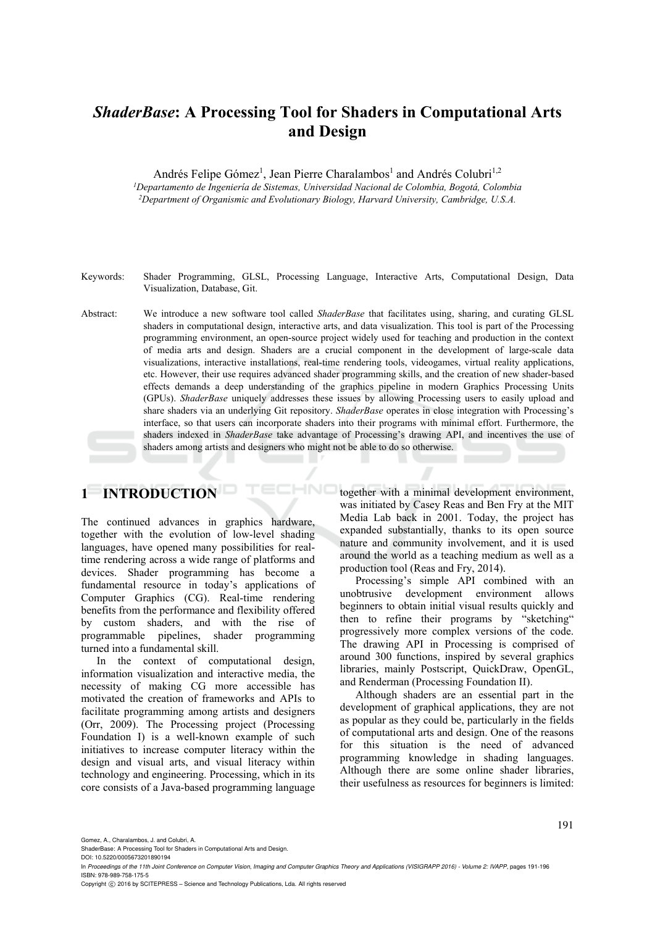# *ShaderBase***: A Processing Tool for Shaders in Computational Arts and Design**

Andrés Felipe Gómez<sup>1</sup>, Jean Pierre Charalambos<sup>1</sup> and Andrés Colubri<sup>1,2</sup>

*1Departamento de Ingeniería de Sistemas, Universidad Nacional de Colombia, Bogotá, Colombia 2Department of Organismic and Evolutionary Biology, Harvard University, Cambridge, U.S.A.* 

Keywords: Shader Programming, GLSL, Processing Language, Interactive Arts, Computational Design, Data Visualization, Database, Git.

Abstract: We introduce a new software tool called *ShaderBase* that facilitates using, sharing, and curating GLSL shaders in computational design, interactive arts, and data visualization. This tool is part of the Processing programming environment, an open-source project widely used for teaching and production in the context of media arts and design. Shaders are a crucial component in the development of large-scale data visualizations, interactive installations, real-time rendering tools, videogames, virtual reality applications, etc. However, their use requires advanced shader programming skills, and the creation of new shader-based effects demands a deep understanding of the graphics pipeline in modern Graphics Processing Units (GPUs). *ShaderBase* uniquely addresses these issues by allowing Processing users to easily upload and share shaders via an underlying Git repository. *ShaderBase* operates in close integration with Processing's interface, so that users can incorporate shaders into their programs with minimal effort. Furthermore, the shaders indexed in *ShaderBase* take advantage of Processing's drawing API, and incentives the use of shaders among artists and designers who might not be able to do so otherwise.

**HNC** 

# **1 INTRODUCTION**

The continued advances in graphics hardware, together with the evolution of low-level shading languages, have opened many possibilities for realtime rendering across a wide range of platforms and devices. Shader programming has become a fundamental resource in today's applications of Computer Graphics (CG). Real-time rendering benefits from the performance and flexibility offered by custom shaders, and with the rise of programmable pipelines, shader programming turned into a fundamental skill.

In the context of computational design, information visualization and interactive media, the necessity of making CG more accessible has motivated the creation of frameworks and APIs to facilitate programming among artists and designers (Orr, 2009). The Processing project (Processing Foundation I) is a well-known example of such initiatives to increase computer literacy within the design and visual arts, and visual literacy within technology and engineering. Processing, which in its core consists of a Java-based programming language together with a minimal development environment, was initiated by Casey Reas and Ben Fry at the MIT Media Lab back in 2001. Today, the project has expanded substantially, thanks to its open source nature and community involvement, and it is used around the world as a teaching medium as well as a production tool (Reas and Fry, 2014).

Processing's simple API combined with an unobtrusive development environment allows beginners to obtain initial visual results quickly and then to refine their programs by "sketching" progressively more complex versions of the code. The drawing API in Processing is comprised of around 300 functions, inspired by several graphics libraries, mainly Postscript, QuickDraw, OpenGL, and Renderman (Processing Foundation II).

Although shaders are an essential part in the development of graphical applications, they are not as popular as they could be, particularly in the fields of computational arts and design. One of the reasons for this situation is the need of advanced programming knowledge in shading languages. Although there are some online shader libraries, their usefulness as resources for beginners is limited:

Gomez, A., Charalambos, J. and Colubri, A.

Copyright © 2016 by SCITEPRESS - Science and Technology Publications, Lda. All rights reserved

ShaderBase: A Processing Tool for Shaders in Computational Arts and Design.

DOI: 10.5220/0005673201890194

In *Proceedings of the 11th Joint Conference on Computer Vision, Imaging and Computer Graphics Theory and Applications (VISIGRAPP 2016) - Volume 2: IVAPP*, pages 191-196 ISBN: 978-989-758-175-5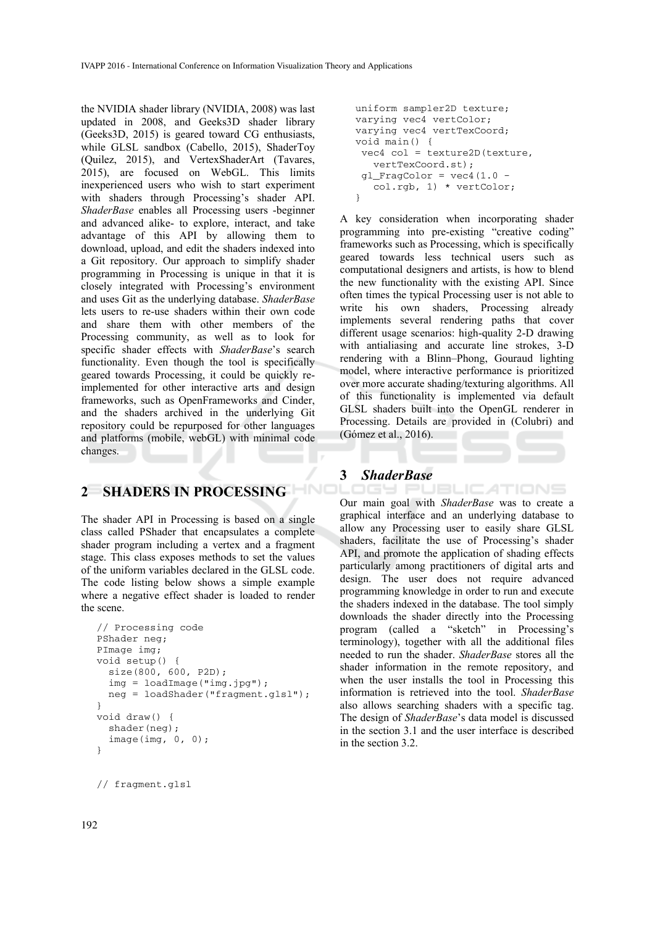the NVIDIA shader library (NVIDIA, 2008) was last updated in 2008, and Geeks3D shader library (Geeks3D, 2015) is geared toward CG enthusiasts, while GLSL sandbox (Cabello, 2015), ShaderToy (Quilez, 2015), and VertexShaderArt (Tavares, 2015), are focused on WebGL. This limits inexperienced users who wish to start experiment with shaders through Processing's shader API. *ShaderBase* enables all Processing users -beginner and advanced alike- to explore, interact, and take advantage of this API by allowing them to download, upload, and edit the shaders indexed into a Git repository. Our approach to simplify shader programming in Processing is unique in that it is closely integrated with Processing's environment and uses Git as the underlying database. *ShaderBase* lets users to re-use shaders within their own code and share them with other members of the Processing community, as well as to look for specific shader effects with *ShaderBase*'s search functionality. Even though the tool is specifically geared towards Processing, it could be quickly reimplemented for other interactive arts and design frameworks, such as OpenFrameworks and Cinder, and the shaders archived in the underlying Git repository could be repurposed for other languages and platforms (mobile, webGL) with minimal code changes.

## **2 SHADERS IN PROCESSING**

The shader API in Processing is based on a single class called PShader that encapsulates a complete shader program including a vertex and a fragment stage. This class exposes methods to set the values of the uniform variables declared in the GLSL code. The code listing below shows a simple example where a negative effect shader is loaded to render the scene.

```
// Processing code 
PShader neg; 
PImage img; 
void setup() { 
   size(800, 600, P2D); 
   img = loadImage("img.jpg"); 
   neg = loadShader("fragment.glsl"); 
} 
void draw() { 
   shader(neg); 
  image(imq, 0, 0);}
```

```
// fragment.glsl
```

```
uniform sampler2D texture; 
varying vec4 vertColor; 
varying vec4 vertTexCoord; 
void main() { 
 vec4 col = texture2D(texture, 
    vertTexCoord.st); 
gl_FragColor = vec4(1.0 - col.rgb, 1) * vertColor; 
}
```
A key consideration when incorporating shader programming into pre-existing "creative coding" frameworks such as Processing, which is specifically geared towards less technical users such as computational designers and artists, is how to blend the new functionality with the existing API. Since often times the typical Processing user is not able to write his own shaders, Processing already implements several rendering paths that cover different usage scenarios: high-quality 2-D drawing with antialiasing and accurate line strokes, 3-D rendering with a Blinn–Phong, Gouraud lighting model, where interactive performance is prioritized over more accurate shading/texturing algorithms. All of this functionality is implemented via default GLSL shaders built into the OpenGL renderer in Processing. Details are provided in (Colubri) and (Gómez et al., 2016).

#### **3** *ShaderBase*  .ogy et

JBLIC*A*TIONS Our main goal with *ShaderBase* was to create a graphical interface and an underlying database to allow any Processing user to easily share GLSL shaders, facilitate the use of Processing's shader API, and promote the application of shading effects particularly among practitioners of digital arts and design. The user does not require advanced programming knowledge in order to run and execute the shaders indexed in the database. The tool simply downloads the shader directly into the Processing program (called a "sketch" in Processing's terminology), together with all the additional files needed to run the shader. *ShaderBase* stores all the shader information in the remote repository, and when the user installs the tool in Processing this information is retrieved into the tool. *ShaderBase* also allows searching shaders with a specific tag. The design of *ShaderBase*'s data model is discussed in the section 3.1 and the user interface is described in the section 3.2.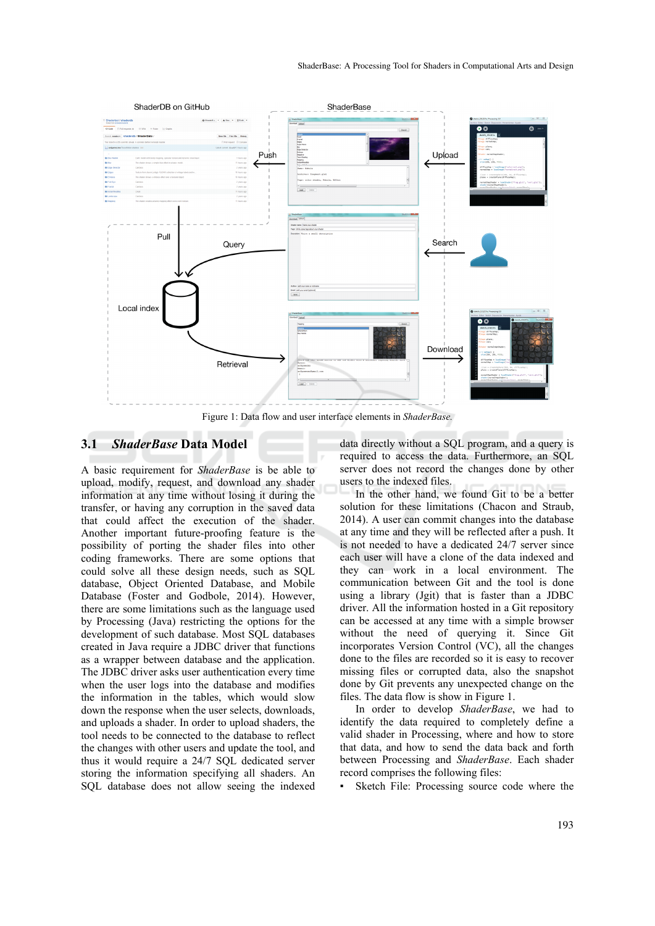

Figure 1: Data flow and user interface elements in *ShaderBase.*

#### **3.1** *ShaderBase* **Data Model**

A basic requirement for *ShaderBase* is be able to upload, modify, request, and download any shader information at any time without losing it during the transfer, or having any corruption in the saved data that could affect the execution of the shader. Another important future-proofing feature is the possibility of porting the shader files into other coding frameworks. There are some options that could solve all these design needs, such as SQL database, Object Oriented Database, and Mobile Database (Foster and Godbole, 2014). However, there are some limitations such as the language used by Processing (Java) restricting the options for the development of such database. Most SQL databases created in Java require a JDBC driver that functions as a wrapper between database and the application. The JDBC driver asks user authentication every time when the user logs into the database and modifies the information in the tables, which would slow down the response when the user selects, downloads, and uploads a shader. In order to upload shaders, the tool needs to be connected to the database to reflect the changes with other users and update the tool, and thus it would require a 24/7 SQL dedicated server storing the information specifying all shaders. An SQL database does not allow seeing the indexed

data directly without a SQL program, and a query is required to access the data. Furthermore, an SQL server does not record the changes done by other users to the indexed files.

In the other hand, we found Git to be a better solution for these limitations (Chacon and Straub, 2014). A user can commit changes into the database at any time and they will be reflected after a push. It is not needed to have a dedicated 24/7 server since each user will have a clone of the data indexed and they can work in a local environment. The communication between Git and the tool is done using a library (Jgit) that is faster than a JDBC driver. All the information hosted in a Git repository can be accessed at any time with a simple browser without the need of querying it. Since Git incorporates Version Control (VC), all the changes done to the files are recorded so it is easy to recover missing files or corrupted data, also the snapshot done by Git prevents any unexpected change on the files. The data flow is show in Figure 1.

In order to develop *ShaderBase*, we had to identify the data required to completely define a valid shader in Processing, where and how to store that data, and how to send the data back and forth between Processing and *ShaderBase*. Each shader record comprises the following files:

Sketch File: Processing source code where the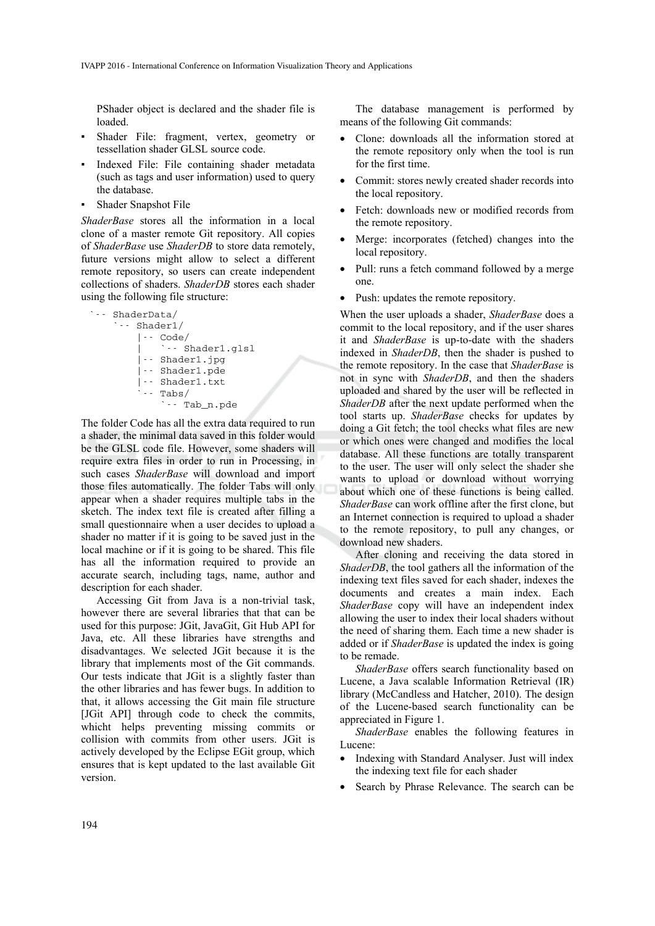PShader object is declared and the shader file is loaded.

- Shader File: fragment, vertex, geometry or tessellation shader GLSL source code.
- Indexed File: File containing shader metadata (such as tags and user information) used to query the database.
- Shader Snapshot File

*ShaderBase* stores all the information in a local clone of a master remote Git repository. All copies of *ShaderBase* use *ShaderDB* to store data remotely, future versions might allow to select a different remote repository, so users can create independent collections of shaders. *ShaderDB* stores each shader using the following file structure:

```
`-- ShaderData/ 
      `-- Shader1/ 
           |-- Code/ 
                | `-- Shader1.glsl 
           |-- Shader1.jpg 
           |-- Shader1.pde 
           |-- Shader1.txt 
          \cdot - Tabs/
                `-- Tab_n.pde
```
The folder Code has all the extra data required to run a shader, the minimal data saved in this folder would be the GLSL code file. However, some shaders will require extra files in order to run in Processing, in such cases *ShaderBase* will download and import those files automatically. The folder Tabs will only appear when a shader requires multiple tabs in the sketch. The index text file is created after filling a small questionnaire when a user decides to upload a shader no matter if it is going to be saved just in the local machine or if it is going to be shared. This file has all the information required to provide an accurate search, including tags, name, author and description for each shader.

Accessing Git from Java is a non-trivial task, however there are several libraries that that can be used for this purpose: JGit, JavaGit, Git Hub API for Java, etc. All these libraries have strengths and disadvantages. We selected JGit because it is the library that implements most of the Git commands. Our tests indicate that JGit is a slightly faster than the other libraries and has fewer bugs. In addition to that, it allows accessing the Git main file structure [JGit API] through code to check the commits, whicht helps preventing missing commits or collision with commits from other users. JGit is actively developed by the Eclipse EGit group, which ensures that is kept updated to the last available Git version.

The database management is performed by means of the following Git commands:

- Clone: downloads all the information stored at the remote repository only when the tool is run for the first time.
- Commit: stores newly created shader records into the local repository.
- Fetch: downloads new or modified records from the remote repository.
- Merge: incorporates (fetched) changes into the local repository.
- Pull: runs a fetch command followed by a merge one.
- Push: updates the remote repository.

When the user uploads a shader, *ShaderBase* does a commit to the local repository, and if the user shares it and *ShaderBase* is up-to-date with the shaders indexed in *ShaderDB*, then the shader is pushed to the remote repository. In the case that *ShaderBase* is not in sync with *ShaderDB*, and then the shaders uploaded and shared by the user will be reflected in *ShaderDB* after the next update performed when the tool starts up. *ShaderBase* checks for updates by doing a Git fetch; the tool checks what files are new or which ones were changed and modifies the local database. All these functions are totally transparent to the user. The user will only select the shader she wants to upload or download without worrying about which one of these functions is being called. *ShaderBase* can work offline after the first clone, but an Internet connection is required to upload a shader to the remote repository, to pull any changes, or download new shaders.

After cloning and receiving the data stored in *ShaderDB*, the tool gathers all the information of the indexing text files saved for each shader, indexes the documents and creates a main index. Each *ShaderBase* copy will have an independent index allowing the user to index their local shaders without the need of sharing them. Each time a new shader is added or if *ShaderBase* is updated the index is going to be remade.

*ShaderBase* offers search functionality based on Lucene, a Java scalable Information Retrieval (IR) library (McCandless and Hatcher, 2010). The design of the Lucene-based search functionality can be appreciated in Figure 1.

*ShaderBase* enables the following features in Lucene:

- Indexing with Standard Analyser. Just will index the indexing text file for each shader
- Search by Phrase Relevance. The search can be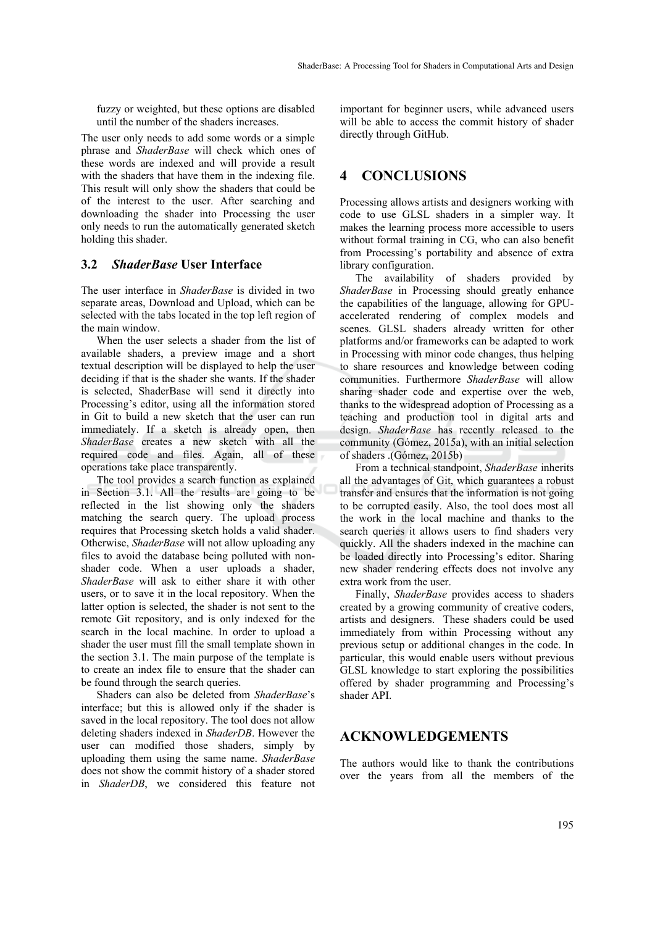fuzzy or weighted, but these options are disabled until the number of the shaders increases.

The user only needs to add some words or a simple phrase and *ShaderBase* will check which ones of these words are indexed and will provide a result with the shaders that have them in the indexing file. This result will only show the shaders that could be of the interest to the user. After searching and downloading the shader into Processing the user only needs to run the automatically generated sketch holding this shader.

#### **3.2** *ShaderBase* **User Interface**

The user interface in *ShaderBase* is divided in two separate areas, Download and Upload, which can be selected with the tabs located in the top left region of the main window.

When the user selects a shader from the list of available shaders, a preview image and a short textual description will be displayed to help the user deciding if that is the shader she wants. If the shader is selected, ShaderBase will send it directly into Processing's editor, using all the information stored in Git to build a new sketch that the user can run immediately. If a sketch is already open, then *ShaderBase* creates a new sketch with all the required code and files. Again, all of these operations take place transparently.

The tool provides a search function as explained in Section 3.1. All the results are going to be reflected in the list showing only the shaders matching the search query. The upload process requires that Processing sketch holds a valid shader. Otherwise, *ShaderBase* will not allow uploading any files to avoid the database being polluted with nonshader code. When a user uploads a shader, *ShaderBase* will ask to either share it with other users, or to save it in the local repository. When the latter option is selected, the shader is not sent to the remote Git repository, and is only indexed for the search in the local machine. In order to upload a shader the user must fill the small template shown in the section 3.1. The main purpose of the template is to create an index file to ensure that the shader can be found through the search queries.

Shaders can also be deleted from *ShaderBase*'s interface; but this is allowed only if the shader is saved in the local repository. The tool does not allow deleting shaders indexed in *ShaderDB*. However the user can modified those shaders, simply by uploading them using the same name. *ShaderBase* does not show the commit history of a shader stored in *ShaderDB*, we considered this feature not

important for beginner users, while advanced users will be able to access the commit history of shader directly through GitHub.

## **4 CONCLUSIONS**

Processing allows artists and designers working with code to use GLSL shaders in a simpler way. It makes the learning process more accessible to users without formal training in CG, who can also benefit from Processing's portability and absence of extra library configuration.

The availability of shaders provided by *ShaderBase* in Processing should greatly enhance the capabilities of the language, allowing for GPUaccelerated rendering of complex models and scenes. GLSL shaders already written for other platforms and/or frameworks can be adapted to work in Processing with minor code changes, thus helping to share resources and knowledge between coding communities. Furthermore *ShaderBase* will allow sharing shader code and expertise over the web, thanks to the widespread adoption of Processing as a teaching and production tool in digital arts and design. *ShaderBase* has recently released to the community (Gómez, 2015a), with an initial selection of shaders .(Gómez, 2015b)

From a technical standpoint, *ShaderBase* inherits all the advantages of Git, which guarantees a robust transfer and ensures that the information is not going to be corrupted easily. Also, the tool does most all the work in the local machine and thanks to the search queries it allows users to find shaders very quickly. All the shaders indexed in the machine can be loaded directly into Processing's editor. Sharing new shader rendering effects does not involve any extra work from the user.

Finally, *ShaderBase* provides access to shaders created by a growing community of creative coders, artists and designers. These shaders could be used immediately from within Processing without any previous setup or additional changes in the code. In particular, this would enable users without previous GLSL knowledge to start exploring the possibilities offered by shader programming and Processing's shader API.

### **ACKNOWLEDGEMENTS**

The authors would like to thank the contributions over the years from all the members of the